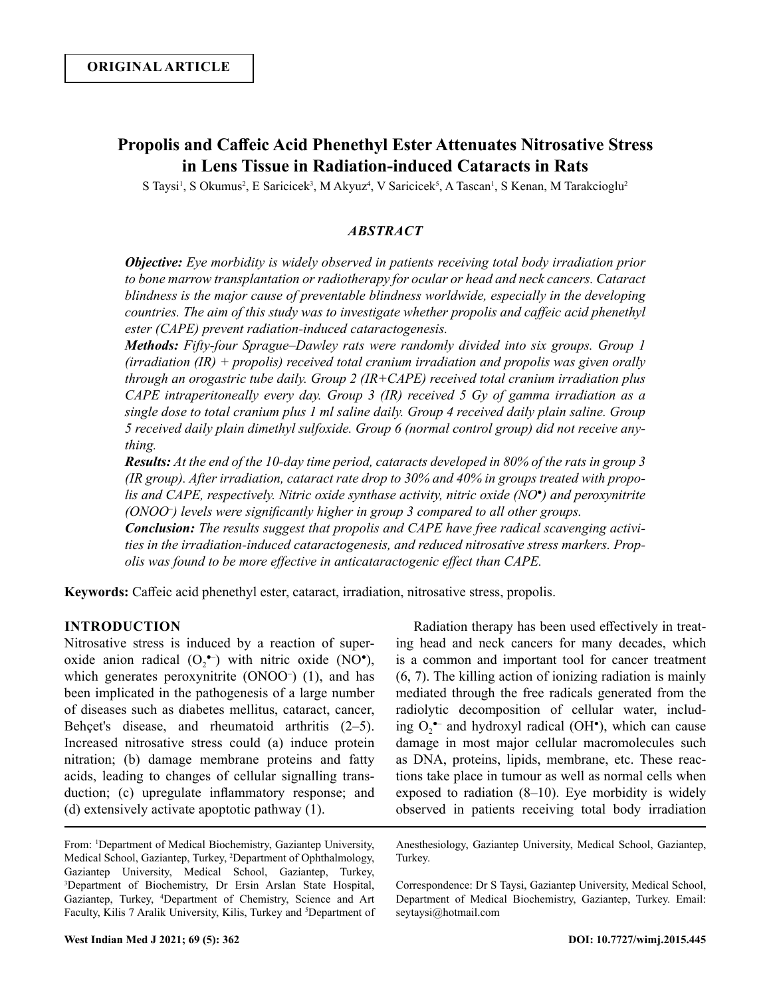# **Propolis and Caffeic Acid Phenethyl Ester Attenuates Nitrosative Stress in Lens Tissue in Radiation-induced Cataracts in Rats**

S Taysi<sup>1</sup>, S Okumus<sup>2</sup>, E Saricicek<sup>3</sup>, M Akyuz<sup>4</sup>, V Saricicek<sup>5</sup>, A Tascan<sup>1</sup>, S Kenan, M Tarakcioglu<sup>2</sup>

# *ABSTRACT*

*Objective: Eye morbidity is widely observed in patients receiving total body irradiation prior to bone marrow transplantation or radiotherapy for ocular or head and neck cancers. Cataract blindness is the major cause of preventable blindness worldwide, especially in the developing countries. The aim of this study was to investigate whether propolis and caffeic acid phenethyl ester (CAPE) prevent radiation-induced cataractogenesis.* 

*Methods: Fifty-four Sprague–Dawley rats were randomly divided into six groups. Group 1 (irradiation (IR) + propolis) received total cranium irradiation and propolis was given orally through an orogastric tube daily. Group 2 (IR+CAPE) received total cranium irradiation plus CAPE intraperitoneally every day. Group 3 (IR) received 5 Gy of gamma irradiation as a single dose to total cranium plus 1 ml saline daily. Group 4 received daily plain saline. Group 5 received daily plain dimethyl sulfoxide. Group 6 (normal control group) did not receive anything.* 

*Results: At the end of the 10-day time period, cataracts developed in 80% of the rats in group 3 (IR group). After irradiation, cataract rate drop to 30% and 40% in groups treated with propolis and CAPE, respectively. Nitric oxide synthase activity, nitric oxide (NO●) and peroxynitrite (ONOO– ) levels were significantly higher in group 3 compared to all other groups.* 

*Conclusion: The results suggest that propolis and CAPE have free radical scavenging activities in the irradiation-induced cataractogenesis, and reduced nitrosative stress markers. Propolis was found to be more effective in anticataractogenic effect than CAPE.*

**Keywords:** Caffeic acid phenethyl ester, cataract, irradiation, nitrosative stress, propolis.

# **INTRODUCTION**

Nitrosative stress is induced by a reaction of superoxide anion radical  $(O_2^{\bullet-})$  with nitric oxide (NO<sup> $\bullet$ </sup>), which generates peroxynitrite (ONOO<sup>-</sup>) (1), and has been implicated in the pathogenesis of a large number of diseases such as diabetes mellitus, cataract, cancer, Behçet's disease, and rheumatoid arthritis (2–5). Increased nitrosative stress could (a) induce protein nitration; (b) damage membrane proteins and fatty acids, leading to changes of cellular signalling transduction; (c) upregulate inflammatory response; and (d) extensively activate apoptotic pathway (1).

From: 1 Department of Medical Biochemistry, Gaziantep University, Medical School, Gaziantep, Turkey, <sup>2</sup> Department of Ophthalmology, Gaziantep University, Medical School, Gaziantep, Turkey, 3 Department of Biochemistry, Dr Ersin Arslan State Hospital, Gaziantep, Turkey, <sup>4</sup> Department of Chemistry, Science and Art Faculty, Kilis 7 Aralik University, Kilis, Turkey and <sup>5</sup>Department of

Radiation therapy has been used effectively in treating head and neck cancers for many decades, which is a common and important tool for cancer treatment (6, 7). The killing action of ionizing radiation is mainly mediated through the free radicals generated from the radiolytic decomposition of cellular water, including  $O_2$ <sup>+-</sup> and hydroxyl radical (OH<sup>+</sup>), which can cause damage in most major cellular macromolecules such as DNA, proteins, lipids, membrane, etc. These reactions take place in tumour as well as normal cells when exposed to radiation (8–10). Eye morbidity is widely observed in patients receiving total body irradiation

Anesthesiology, Gaziantep University, Medical School, Gaziantep, Turkey.

Correspondence: Dr S Taysi, Gaziantep University, Medical School, Department of Medical Biochemistry, Gaziantep, Turkey. Email: seytaysi@hotmail.com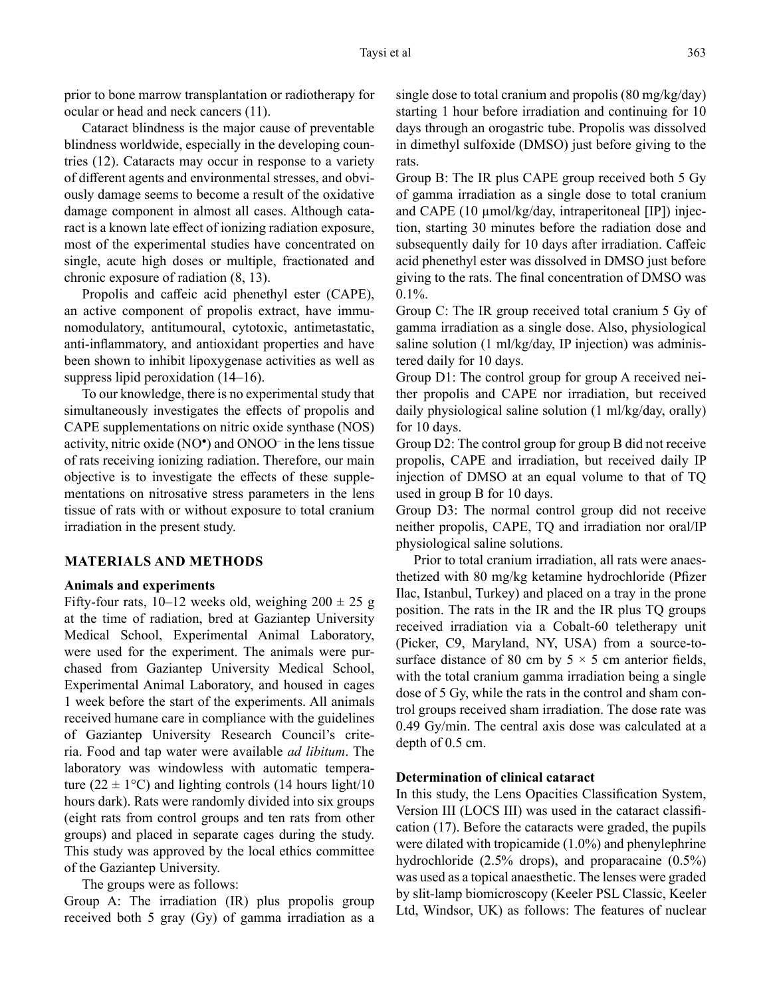prior to bone marrow transplantation or radiotherapy for ocular or head and neck cancers (11).

Cataract blindness is the major cause of preventable blindness worldwide, especially in the developing countries (12). Cataracts may occur in response to a variety of different agents and environmental stresses, and obviously damage seems to become a result of the oxidative damage component in almost all cases. Although cataract is a known late effect of ionizing radiation exposure, most of the experimental studies have concentrated on single, acute high doses or multiple, fractionated and chronic exposure of radiation (8, 13).

Propolis and caffeic acid phenethyl ester (CAPE), an active component of propolis extract, have immunomodulatory, antitumoural, cytotoxic, antimetastatic, anti-inflammatory, and antioxidant properties and have been shown to inhibit lipoxygenase activities as well as suppress lipid peroxidation (14–16).

To our knowledge, there is no experimental study that simultaneously investigates the effects of propolis and CAPE supplementations on nitric oxide synthase (NOS) activity, nitric oxide (NO●) and ONOO– in the lens tissue of rats receiving ionizing radiation. Therefore, our main objective is to investigate the effects of these supplementations on nitrosative stress parameters in the lens tissue of rats with or without exposure to total cranium irradiation in the present study.

## **MATERIALS AND METHODS**

#### **Animals and experiments**

Fifty-four rats, 10–12 weeks old, weighing  $200 \pm 25$  g at the time of radiation, bred at Gaziantep University Medical School, Experimental Animal Laboratory, were used for the experiment. The animals were purchased from Gaziantep University Medical School, Experimental Animal Laboratory, and housed in cages 1 week before the start of the experiments. All animals received humane care in compliance with the guidelines of Gaziantep University Research Council's criteria. Food and tap water were available *ad libitum*. The laboratory was windowless with automatic temperature (22  $\pm$  1°C) and lighting controls (14 hours light/10 hours dark). Rats were randomly divided into six groups (eight rats from control groups and ten rats from other groups) and placed in separate cages during the study. This study was approved by the local ethics committee of the Gaziantep University.

The groups were as follows:

Group A: The irradiation (IR) plus propolis group received both 5 gray (Gy) of gamma irradiation as a single dose to total cranium and propolis (80 mg/kg/day) starting 1 hour before irradiation and continuing for 10 days through an orogastric tube. Propolis was dissolved in dimethyl sulfoxide (DMSO) just before giving to the rats.

Group B: The IR plus CAPE group received both 5 Gy of gamma irradiation as a single dose to total cranium and CAPE  $(10 \mu \text{mol/kg/day},$  intraperitoneal  $[IP]$ ) injection, starting 30 minutes before the radiation dose and subsequently daily for 10 days after irradiation. Caffeic acid phenethyl ester was dissolved in DMSO just before giving to the rats. The final concentration of DMSO was  $0.1\%$ .

Group C: The IR group received total cranium 5 Gy of gamma irradiation as a single dose. Also, physiological saline solution (1 ml/kg/day, IP injection) was administered daily for 10 days.

Group D1: The control group for group A received neither propolis and CAPE nor irradiation, but received daily physiological saline solution (1 ml/kg/day, orally) for 10 days.

Group D2: The control group for group B did not receive propolis, CAPE and irradiation, but received daily IP injection of DMSO at an equal volume to that of TQ used in group B for 10 days.

Group D3: The normal control group did not receive neither propolis, CAPE, TQ and irradiation nor oral/IP physiological saline solutions.

Prior to total cranium irradiation, all rats were anaesthetized with 80 mg/kg ketamine hydrochloride (Pfizer Ilac, Istanbul, Turkey) and placed on a tray in the prone position. The rats in the IR and the IR plus TQ groups received irradiation via a Cobalt-60 teletherapy unit (Picker, C9, Maryland, NY, USA) from a source-tosurface distance of 80 cm by  $5 \times 5$  cm anterior fields, with the total cranium gamma irradiation being a single dose of 5 Gy, while the rats in the control and sham control groups received sham irradiation. The dose rate was 0.49 Gy/min. The central axis dose was calculated at a depth of 0.5 cm.

#### **Determination of clinical cataract**

In this study, the Lens Opacities Classification System, Version III (LOCS III) was used in the cataract classification (17). Before the cataracts were graded, the pupils were dilated with tropicamide (1.0%) and phenylephrine hydrochloride (2.5% drops), and proparacaine (0.5%) was used as a topical anaesthetic. The lenses were graded by slit-lamp biomicroscopy (Keeler PSL Classic, Keeler Ltd, Windsor, UK) as follows: The features of nuclear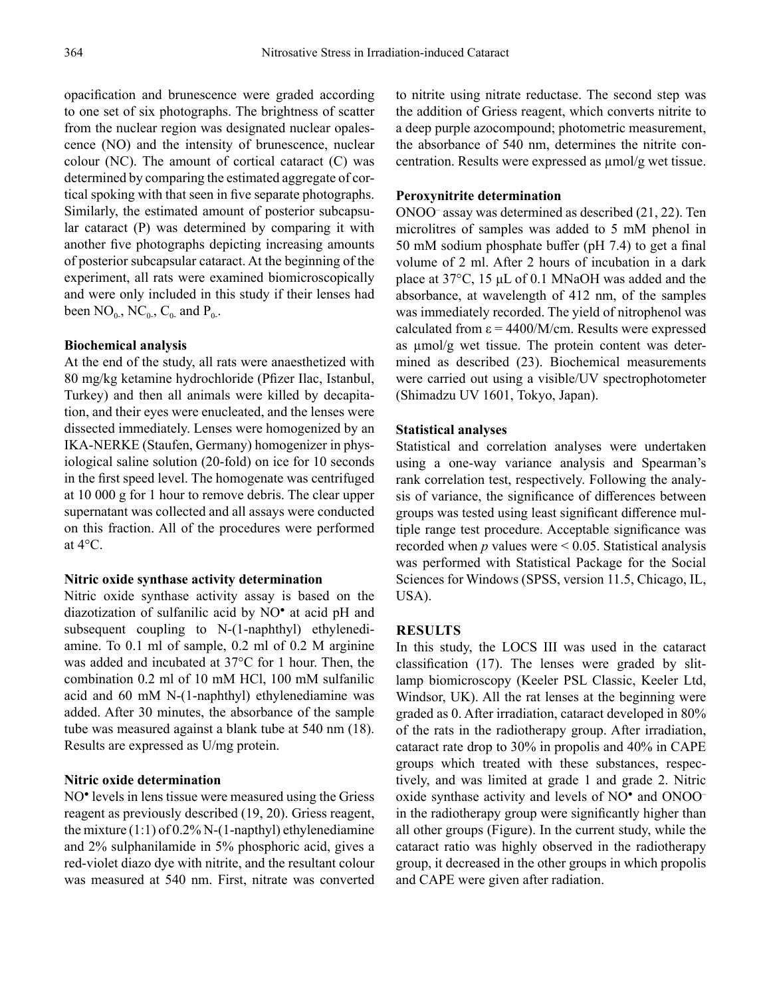opacification and brunescence were graded according to one set of six photographs. The brightness of scatter from the nuclear region was designated nuclear opalescence (NO) and the intensity of brunescence, nuclear colour (NC). The amount of cortical cataract (C) was determined by comparing the estimated aggregate of cortical spoking with that seen in five separate photographs. Similarly, the estimated amount of posterior subcapsular cataract (P) was determined by comparing it with another five photographs depicting increasing amounts of posterior subcapsular cataract. At the beginning of the experiment, all rats were examined biomicroscopically and were only included in this study if their lenses had been  $NO_{0}$ ,  $NC_{0}$ ,  $C_{0}$  and  $P_{0}$ .

## **Biochemical analysis**

At the end of the study, all rats were anaesthetized with 80 mg/kg ketamine hydrochloride (Pfizer Ilac, Istanbul, Turkey) and then all animals were killed by decapitation, and their eyes were enucleated, and the lenses were dissected immediately. Lenses were homogenized by an IKA-NERKE (Staufen, Germany) homogenizer in physiological saline solution (20-fold) on ice for 10 seconds in the first speed level. The homogenate was centrifuged at 10 000 g for 1 hour to remove debris. The clear upper supernatant was collected and all assays were conducted on this fraction. All of the procedures were performed at 4°C.

#### **Nitric oxide synthase activity determination**

Nitric oxide synthase activity assay is based on the diazotization of sulfanilic acid by NO● at acid pH and subsequent coupling to N-(1-naphthyl) ethylenediamine. To 0.1 ml of sample, 0.2 ml of 0.2 M arginine was added and incubated at 37°C for 1 hour. Then, the combination 0.2 ml of 10 mM HCl, 100 mM sulfanilic acid and 60 mM N-(1-naphthyl) ethylenediamine was added. After 30 minutes, the absorbance of the sample tube was measured against a blank tube at 540 nm (18). Results are expressed as U/mg protein.

## **Nitric oxide determination**

NO<sup>•</sup> levels in lens tissue were measured using the Griess reagent as previously described (19, 20). Griess reagent, the mixture (1:1) of 0.2% N-(1-napthyl) ethylenediamine and 2% sulphanilamide in 5% phosphoric acid, gives a red-violet diazo dye with nitrite, and the resultant colour was measured at 540 nm. First, nitrate was converted to nitrite using nitrate reductase. The second step was the addition of Griess reagent, which converts nitrite to a deep purple azocompound; photometric measurement, the absorbance of 540 nm, determines the nitrite concentration. Results were expressed as µmol/g wet tissue.

#### **Peroxynitrite determination**

ONOO– assay was determined as described (21, 22). Ten microlitres of samples was added to 5 mM phenol in 50 mM sodium phosphate buffer (pH 7.4) to get a final volume of 2 ml. After 2 hours of incubation in a dark place at 37°C, 15 μL of 0.1 MNaOH was added and the absorbance, at wavelength of 412 nm, of the samples was immediately recorded. The yield of nitrophenol was calculated from  $\varepsilon = 4400/M/cm$ . Results were expressed as umol/g wet tissue. The protein content was determined as described (23). Biochemical measurements were carried out using a visible/UV spectrophotometer (Shimadzu UV 1601, Tokyo, Japan).

## **Statistical analyses**

Statistical and correlation analyses were undertaken using a one-way variance analysis and Spearman's rank correlation test, respectively. Following the analysis of variance, the significance of differences between groups was tested using least significant difference multiple range test procedure. Acceptable significance was recorded when  $p$  values were  $\leq 0.05$ . Statistical analysis was performed with Statistical Package for the Social Sciences for Windows (SPSS, version 11.5, Chicago, IL, USA).

# **RESULTS**

In this study, the LOCS III was used in the cataract classification (17). The lenses were graded by slitlamp biomicroscopy (Keeler PSL Classic, Keeler Ltd, Windsor, UK). All the rat lenses at the beginning were graded as 0. After irradiation, cataract developed in 80% of the rats in the radiotherapy group. After irradiation, cataract rate drop to 30% in propolis and 40% in CAPE groups which treated with these substances, respectively, and was limited at grade 1 and grade 2. Nitric oxide synthase activity and levels of NO<sup>•</sup> and ONOO<sup>-</sup> in the radiotherapy group were significantly higher than all other groups (Figure). In the current study, while the cataract ratio was highly observed in the radiotherapy group, it decreased in the other groups in which propolis and CAPE were given after radiation.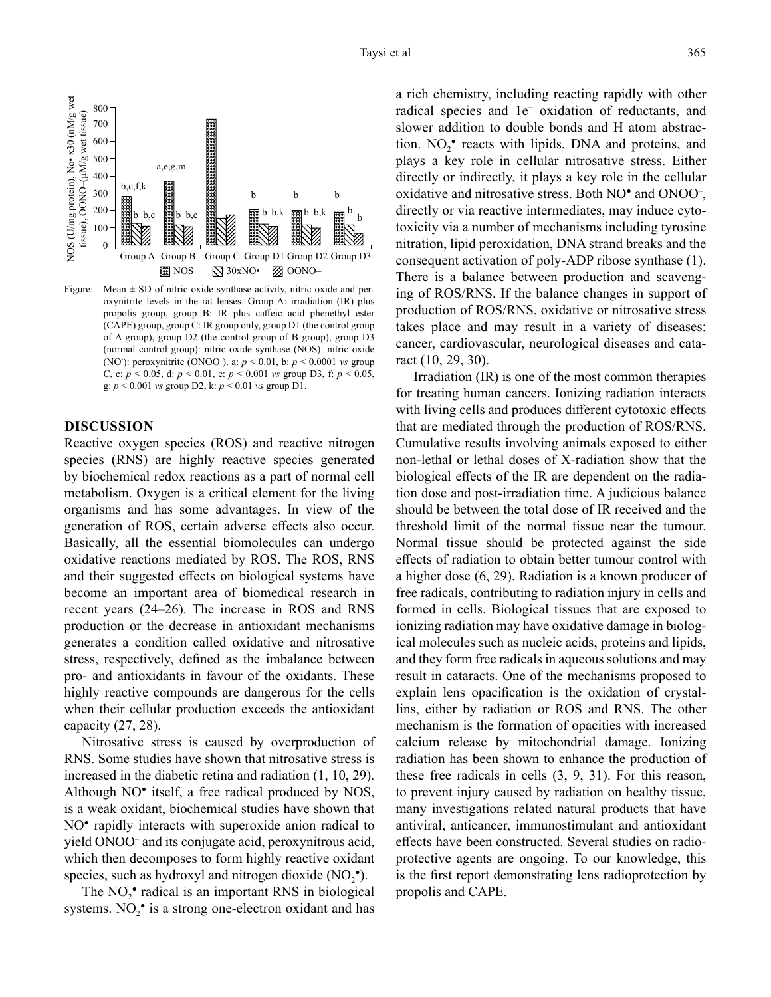

Figure: Mean  $\pm$  SD of nitric oxide synthase activity, nitric oxide and peroxynitrite levels in the rat lenses. Group A: irradiation (IR) plus propolis group, group B: IR plus caffeic acid phenethyl ester (CAPE) group, group C: IR group only, group D1 (the control group of A group), group D2 (the control group of B group), group D3 (normal control group): nitric oxide synthase (NOS): nitric oxide (NO• ): peroxynitrite (ONOO– ). a: *p* < 0.01, b: *p* < 0.0001 *vs* group C, c: *p* < 0.05, d: *p* < 0.01, e: *p* < 0.001 *vs* group D3, f: *p* < 0.05, g: *p* < 0.001 *vs* group D2, k: *p* < 0.01 *vs* group D1.

## **DISCUSSION**

Reactive oxygen species (ROS) and reactive nitrogen species (RNS) are highly reactive species generated by biochemical redox reactions as a part of normal cell metabolism. Oxygen is a critical element for the living organisms and has some advantages. In view of the generation of ROS, certain adverse effects also occur. Basically, all the essential biomolecules can undergo oxidative reactions mediated by ROS. The ROS, RNS and their suggested effects on biological systems have become an important area of biomedical research in recent years (24–26). The increase in ROS and RNS production or the decrease in antioxidant mechanisms generates a condition called oxidative and nitrosative stress, respectively, defined as the imbalance between pro- and antioxidants in favour of the oxidants. These highly reactive compounds are dangerous for the cells when their cellular production exceeds the antioxidant capacity (27, 28).

Nitrosative stress is caused by overproduction of RNS. Some studies have shown that nitrosative stress is increased in the diabetic retina and radiation (1, 10, 29). Although NO<sup>•</sup> itself, a free radical produced by NOS, is a weak oxidant, biochemical studies have shown that NO<sup>•</sup> rapidly interacts with superoxide anion radical to yield ONOO– and its conjugate acid, peroxynitrous acid, which then decomposes to form highly reactive oxidant species, such as hydroxyl and nitrogen dioxide  $(NO<sub>2</sub><sup>*</sup>)$ .

The  $NO<sub>2</sub><sup>*</sup>$  radical is an important RNS in biological systems. NO<sub>2</sub><sup>•</sup> is a strong one-electron oxidant and has a rich chemistry, including reacting rapidly with other radical species and 1e− oxidation of reductants, and slower addition to double bonds and H atom abstraction.  $NO_2^{\bullet}$  reacts with lipids, DNA and proteins, and plays a key role in cellular nitrosative stress. Either directly or indirectly, it plays a key role in the cellular oxidative and nitrosative stress. Both NO<sup>•</sup> and ONOO<sup>-</sup>, directly or via reactive intermediates, may induce cytotoxicity via a number of mechanisms including tyrosine nitration, lipid peroxidation, DNA strand breaks and the consequent activation of poly-ADP ribose synthase (1). There is a balance between production and scavenging of ROS/RNS. If the balance changes in support of production of ROS/RNS, oxidative or nitrosative stress takes place and may result in a variety of diseases: cancer, cardiovascular, neurological diseases and cataract (10, 29, 30).

Irradiation (IR) is one of the most common therapies for treating human cancers. Ionizing radiation interacts with living cells and produces different cytotoxic effects that are mediated through the production of ROS/RNS. Cumulative results involving animals exposed to either non-lethal or lethal doses of X-radiation show that the biological effects of the IR are dependent on the radiation dose and post-irradiation time. A judicious balance should be between the total dose of IR received and the threshold limit of the normal tissue near the tumour. Normal tissue should be protected against the side effects of radiation to obtain better tumour control with a higher dose (6, 29). Radiation is a known producer of free radicals, contributing to radiation injury in cells and formed in cells. Biological tissues that are exposed to ionizing radiation may have oxidative damage in biological molecules such as nucleic acids, proteins and lipids, and they form free radicals in aqueous solutions and may result in cataracts. One of the mechanisms proposed to explain lens opacification is the oxidation of crystallins, either by radiation or ROS and RNS. The other mechanism is the formation of opacities with increased calcium release by mitochondrial damage. Ionizing radiation has been shown to enhance the production of these free radicals in cells (3, 9, 31). For this reason, to prevent injury caused by radiation on healthy tissue, many investigations related natural products that have antiviral, anticancer, immunostimulant and antioxidant effects have been constructed. Several studies on radioprotective agents are ongoing. To our knowledge, this is the first report demonstrating lens radioprotection by propolis and CAPE.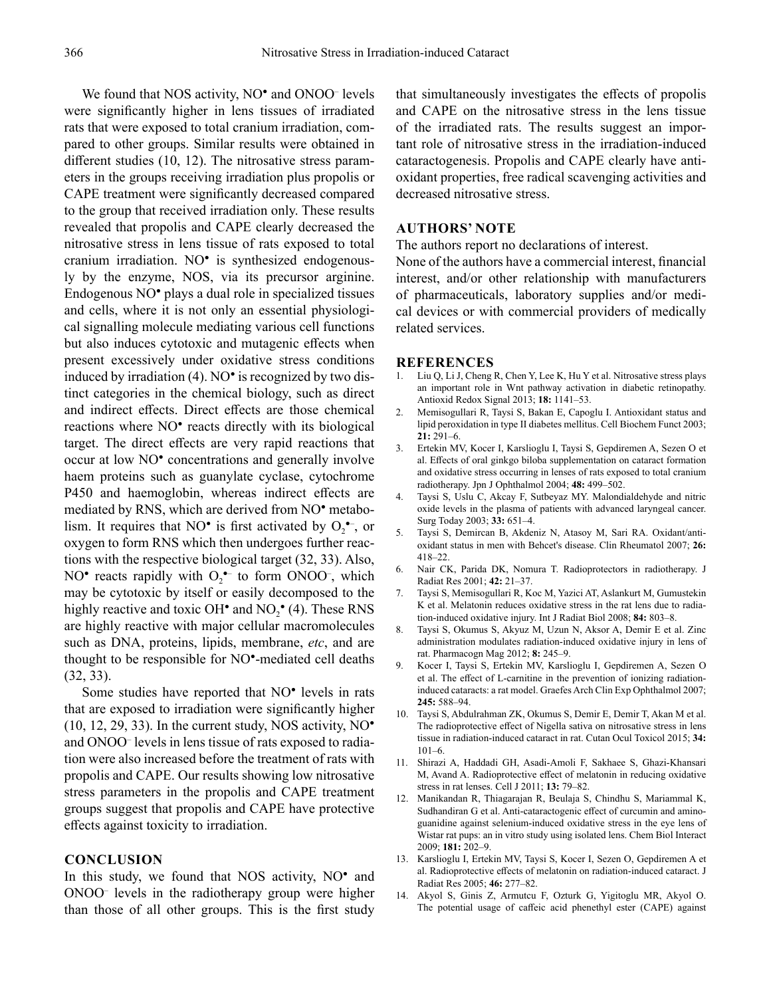We found that NOS activity, NO<sup>•</sup> and ONOO<sup>-</sup> levels were significantly higher in lens tissues of irradiated rats that were exposed to total cranium irradiation, compared to other groups. Similar results were obtained in different studies (10, 12). The nitrosative stress parameters in the groups receiving irradiation plus propolis or CAPE treatment were significantly decreased compared to the group that received irradiation only. These results revealed that propolis and CAPE clearly decreased the nitrosative stress in lens tissue of rats exposed to total cranium irradiation. NO● is synthesized endogenously by the enzyme, NOS, via its precursor arginine. Endogenous NO● plays a dual role in specialized tissues and cells, where it is not only an essential physiological signalling molecule mediating various cell functions but also induces cytotoxic and mutagenic effects when present excessively under oxidative stress conditions induced by irradiation (4). NO● is recognized by two distinct categories in the chemical biology, such as direct and indirect effects. Direct effects are those chemical reactions where NO<sup>•</sup> reacts directly with its biological target. The direct effects are very rapid reactions that occur at low NO● concentrations and generally involve haem proteins such as guanylate cyclase, cytochrome P450 and haemoglobin, whereas indirect effects are mediated by RNS, which are derived from NO<sup>•</sup> metabolism. It requires that NO<sup> $\bullet$ </sup> is first activated by  $O_2^{\bullet -}$ , or oxygen to form RNS which then undergoes further reactions with the respective biological target (32, 33). Also, NO<sup>•</sup> reacts rapidly with  $O_2$ <sup>•–</sup> to form ONOO<sup>-</sup>, which may be cytotoxic by itself or easily decomposed to the highly reactive and toxic OH $^{\bullet}$  and NO<sub>2</sub> $^{\bullet}$  (4). These RNS are highly reactive with major cellular macromolecules such as DNA, proteins, lipids, membrane, *etc*, and are thought to be responsible for NO●-mediated cell deaths (32, 33).

Some studies have reported that NO<sup>•</sup> levels in rats that are exposed to irradiation were significantly higher  $(10, 12, 29, 33)$ . In the current study, NOS activity, NO $^{\bullet}$ and ONOO– levels in lens tissue of rats exposed to radiation were also increased before the treatment of rats with propolis and CAPE. Our results showing low nitrosative stress parameters in the propolis and CAPE treatment groups suggest that propolis and CAPE have protective effects against toxicity to irradiation.

## **CONCLUSION**

In this study, we found that NOS activity, NO<sup>•</sup> and ONOO– levels in the radiotherapy group were higher than those of all other groups. This is the first study

that simultaneously investigates the effects of propolis and CAPE on the nitrosative stress in the lens tissue of the irradiated rats. The results suggest an important role of nitrosative stress in the irradiation-induced cataractogenesis. Propolis and CAPE clearly have antioxidant properties, free radical scavenging activities and decreased nitrosative stress.

## **AUTHORS' NOTE**

The authors report no declarations of interest.

None of the authors have a commercial interest, financial interest, and/or other relationship with manufacturers of pharmaceuticals, laboratory supplies and/or medical devices or with commercial providers of medically related services.

#### **REFERENCES**

- 1. Liu Q, Li J, Cheng R, Chen Y, Lee K, Hu Y et al. Nitrosative stress plays an important role in Wnt pathway activation in diabetic retinopathy. Antioxid Redox Signal 2013; **18:** 1141–53.
- 2. Memisogullari R, Taysi S, Bakan E, Capoglu I. Antioxidant status and lipid peroxidation in type II diabetes mellitus. Cell Biochem Funct 2003; **21:** 291–6.
- 3. Ertekin MV, Kocer I, Karslioglu I, Taysi S, Gepdiremen A, Sezen O et al. Effects of oral ginkgo biloba supplementation on cataract formation and oxidative stress occurring in lenses of rats exposed to total cranium radiotherapy. Jpn J Ophthalmol 2004; **48:** 499–502.
- 4. Taysi S, Uslu C, Akcay F, Sutbeyaz MY. Malondialdehyde and nitric oxide levels in the plasma of patients with advanced laryngeal cancer. Surg Today 2003; **33:** 651–4.
- 5. Taysi S, Demircan B, Akdeniz N, Atasoy M, Sari RA. Oxidant/antioxidant status in men with Behcet's disease. Clin Rheumatol 2007; **26:** 418–22.
- 6. Nair CK, Parida DK, Nomura T. Radioprotectors in radiotherapy. J Radiat Res 2001; **42:** 21–37.
- 7. Taysi S, Memisogullari R, Koc M, Yazici AT, Aslankurt M, Gumustekin K et al. Melatonin reduces oxidative stress in the rat lens due to radiation-induced oxidative injury. Int J Radiat Biol 2008; **84:** 803–8.
- 8. Taysi S, Okumus S, Akyuz M, Uzun N, Aksor A, Demir E et al. Zinc administration modulates radiation-induced oxidative injury in lens of rat. Pharmacogn Mag 2012; **8:** 245–9.
- 9. Kocer I, Taysi S, Ertekin MV, Karslioglu I, Gepdiremen A, Sezen O et al. The effect of L-carnitine in the prevention of ionizing radiationinduced cataracts: a rat model. Graefes Arch Clin Exp Ophthalmol 2007; **245:** 588–94.
- 10. Taysi S, Abdulrahman ZK, Okumus S, Demir E, Demir T, Akan M et al. The radioprotective effect of Nigella sativa on nitrosative stress in lens tissue in radiation-induced cataract in rat. Cutan Ocul Toxicol 2015; **34:** 101–6.
- 11. Shirazi A, Haddadi GH, Asadi-Amoli F, Sakhaee S, Ghazi-Khansari M, Avand A. Radioprotective effect of melatonin in reducing oxidative stress in rat lenses. Cell J 2011; **13:** 79–82.
- 12. Manikandan R, Thiagarajan R, Beulaja S, Chindhu S, Mariammal K, Sudhandiran G et al. Anti-cataractogenic effect of curcumin and aminoguanidine against selenium-induced oxidative stress in the eye lens of Wistar rat pups: an in vitro study using isolated lens. Chem Biol Interact 2009; **181:** 202–9.
- 13. Karslioglu I, Ertekin MV, Taysi S, Kocer I, Sezen O, Gepdiremen A et al. Radioprotective effects of melatonin on radiation-induced cataract. J Radiat Res 2005; **46:** 277–82.
- 14. Akyol S, Ginis Z, Armutcu F, Ozturk G, Yigitoglu MR, Akyol O. The potential usage of caffeic acid phenethyl ester (CAPE) against